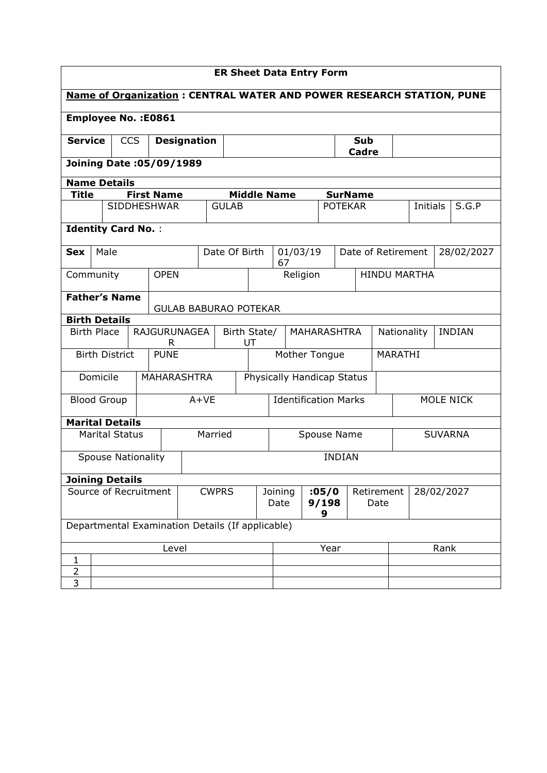|                            | <b>ER Sheet Data Entry Form</b>                                             |                           |            |                           |                    |                                                  |                             |  |                          |                    |               |                            |                              |  |                     |  |       |
|----------------------------|-----------------------------------------------------------------------------|---------------------------|------------|---------------------------|--------------------|--------------------------------------------------|-----------------------------|--|--------------------------|--------------------|---------------|----------------------------|------------------------------|--|---------------------|--|-------|
|                            | <b>Name of Organization: CENTRAL WATER AND POWER RESEARCH STATION, PUNE</b> |                           |            |                           |                    |                                                  |                             |  |                          |                    |               |                            |                              |  |                     |  |       |
| <b>Employee No.: E0861</b> |                                                                             |                           |            |                           |                    |                                                  |                             |  |                          |                    |               |                            |                              |  |                     |  |       |
| <b>Service</b>             |                                                                             |                           | <b>CCS</b> |                           | <b>Designation</b> |                                                  |                             |  |                          |                    |               | <b>Sub</b><br>Cadre        |                              |  |                     |  |       |
|                            | <b>Joining Date: 05/09/1989</b>                                             |                           |            |                           |                    |                                                  |                             |  |                          |                    |               |                            |                              |  |                     |  |       |
| <b>Name Details</b>        |                                                                             |                           |            |                           |                    |                                                  |                             |  |                          |                    |               |                            |                              |  |                     |  |       |
|                            | <b>First Name</b><br><b>Title</b><br><b>Middle Name</b><br><b>SurName</b>   |                           |            |                           |                    |                                                  |                             |  |                          |                    |               |                            |                              |  |                     |  |       |
|                            |                                                                             |                           |            | <b>SIDDHESHWAR</b>        |                    | <b>GULAB</b>                                     |                             |  |                          |                    |               | <b>POTEKAR</b>             |                              |  | Initials            |  | S.G.P |
| <b>Identity Card No.:</b>  |                                                                             |                           |            |                           |                    |                                                  |                             |  |                          |                    |               |                            |                              |  |                     |  |       |
| Sex                        | 01/03/19<br>Male<br>Date Of Birth<br>Date of Retirement<br>28/02/2027<br>67 |                           |            |                           |                    |                                                  |                             |  |                          |                    |               |                            |                              |  |                     |  |       |
| Community                  |                                                                             |                           |            | <b>OPEN</b>               |                    |                                                  |                             |  | Religion                 |                    |               |                            |                              |  | <b>HINDU MARTHA</b> |  |       |
|                            | <b>Father's Name</b><br><b>GULAB BABURAO POTEKAR</b>                        |                           |            |                           |                    |                                                  |                             |  |                          |                    |               |                            |                              |  |                     |  |       |
| <b>Birth Details</b>       |                                                                             |                           |            |                           |                    |                                                  |                             |  |                          |                    |               |                            |                              |  |                     |  |       |
| <b>Birth Place</b>         |                                                                             |                           |            | <b>RAJGURUNAGEA</b><br>R. |                    |                                                  | Birth State/<br>UT          |  | MAHARASHTRA              |                    |               |                            | <b>INDIAN</b><br>Nationality |  |                     |  |       |
|                            |                                                                             | <b>Birth District</b>     |            | <b>PUNE</b>               |                    |                                                  |                             |  | Mother Tongue<br>MARATHI |                    |               |                            |                              |  |                     |  |       |
|                            | Domicile                                                                    |                           |            | <b>MAHARASHTRA</b>        |                    |                                                  |                             |  |                          |                    |               | Physically Handicap Status |                              |  |                     |  |       |
| <b>Blood Group</b>         |                                                                             |                           |            |                           | $A+VE$             |                                                  | <b>Identification Marks</b> |  |                          |                    |               |                            | MOLE NICK                    |  |                     |  |       |
| <b>Marital Details</b>     |                                                                             |                           |            |                           |                    |                                                  |                             |  |                          |                    |               |                            |                              |  |                     |  |       |
|                            |                                                                             | <b>Marital Status</b>     |            |                           |                    | Married                                          |                             |  | Spouse Name              |                    |               |                            | <b>SUVARNA</b>               |  |                     |  |       |
|                            |                                                                             | <b>Spouse Nationality</b> |            |                           |                    |                                                  |                             |  |                          |                    | <b>INDIAN</b> |                            |                              |  |                     |  |       |
| <b>Joining Details</b>     |                                                                             |                           |            |                           |                    |                                                  |                             |  |                          |                    |               |                            |                              |  |                     |  |       |
| Source of Recruitment      |                                                                             |                           |            | <b>CWPRS</b>              |                    | Joining<br>Date                                  |                             |  | :05/0<br>9/198<br>9      | Retirement<br>Date |               |                            | 28/02/2027                   |  |                     |  |       |
|                            |                                                                             |                           |            |                           |                    | Departmental Examination Details (If applicable) |                             |  |                          |                    |               |                            |                              |  |                     |  |       |
| Level                      |                                                                             |                           |            |                           |                    | Year                                             |                             |  |                          | Rank               |               |                            |                              |  |                     |  |       |
| $\mathbf{1}$               |                                                                             |                           |            |                           |                    |                                                  |                             |  |                          |                    |               |                            |                              |  |                     |  |       |
| $\overline{2}$             |                                                                             |                           |            |                           |                    |                                                  |                             |  |                          |                    |               |                            |                              |  |                     |  |       |
| $\overline{\mathbf{3}}$    |                                                                             |                           |            |                           |                    |                                                  |                             |  |                          |                    |               |                            |                              |  |                     |  |       |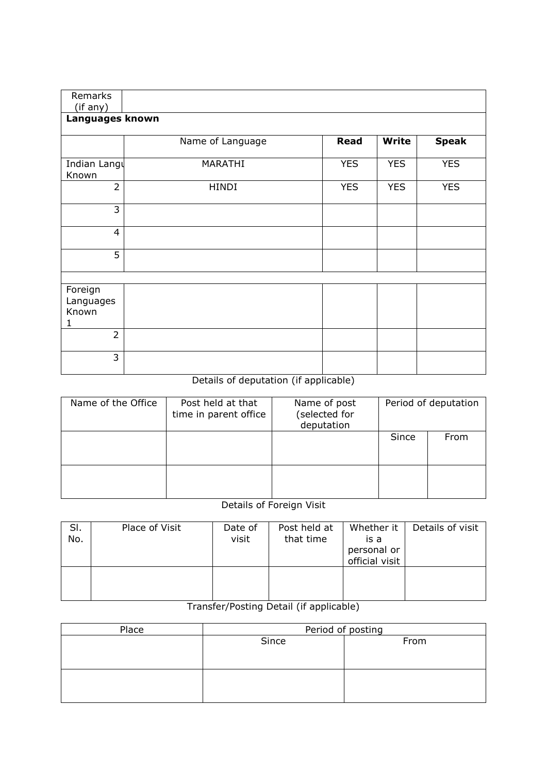| Remarks                            |                  |             |              |              |
|------------------------------------|------------------|-------------|--------------|--------------|
| (if any)                           |                  |             |              |              |
| Languages known                    |                  |             |              |              |
|                                    | Name of Language | <b>Read</b> | <b>Write</b> | <b>Speak</b> |
| Indian Langu<br>Known              | MARATHI          | <b>YES</b>  | <b>YES</b>   | <b>YES</b>   |
| $\overline{2}$                     | <b>HINDI</b>     | <b>YES</b>  | <b>YES</b>   | <b>YES</b>   |
| $\overline{3}$                     |                  |             |              |              |
| $\overline{4}$                     |                  |             |              |              |
| 5                                  |                  |             |              |              |
|                                    |                  |             |              |              |
| Foreign<br>Languages<br>Known<br>1 |                  |             |              |              |
| $\overline{2}$                     |                  |             |              |              |
| $\overline{3}$                     |                  |             |              |              |

# Details of deputation (if applicable)

| Name of the Office | Post held at that<br>time in parent office | Name of post<br>(selected for<br>deputation | Period of deputation |      |  |  |
|--------------------|--------------------------------------------|---------------------------------------------|----------------------|------|--|--|
|                    |                                            |                                             | Since                | From |  |  |
|                    |                                            |                                             |                      |      |  |  |

### Details of Foreign Visit

| SI.<br>No. | Place of Visit | Date of<br>visit | Post held at<br>that time | Whether it<br>is a<br>personal or<br>official visit | Details of visit |
|------------|----------------|------------------|---------------------------|-----------------------------------------------------|------------------|
|            |                |                  |                           |                                                     |                  |

## Transfer/Posting Detail (if applicable)

| Place | Period of posting |      |  |  |  |  |  |
|-------|-------------------|------|--|--|--|--|--|
|       | Since             | From |  |  |  |  |  |
|       |                   |      |  |  |  |  |  |
|       |                   |      |  |  |  |  |  |
|       |                   |      |  |  |  |  |  |
|       |                   |      |  |  |  |  |  |
|       |                   |      |  |  |  |  |  |